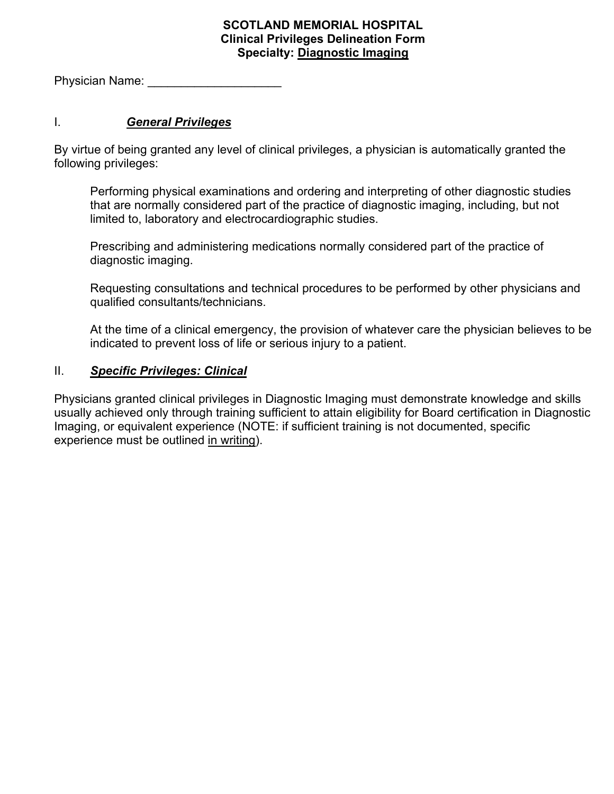## **SCOTLAND MEMORIAL HOSPITAL Clinical Privileges Delineation Form Specialty: Diagnostic Imaging**

Physician Name:

## I. *General Privileges*

By virtue of being granted any level of clinical privileges, a physician is automatically granted the following privileges:

Performing physical examinations and ordering and interpreting of other diagnostic studies that are normally considered part of the practice of diagnostic imaging, including, but not limited to, laboratory and electrocardiographic studies.

Prescribing and administering medications normally considered part of the practice of diagnostic imaging.

Requesting consultations and technical procedures to be performed by other physicians and qualified consultants/technicians.

At the time of a clinical emergency, the provision of whatever care the physician believes to be indicated to prevent loss of life or serious injury to a patient.

## II. *Specific Privileges: Clinical*

Physicians granted clinical privileges in Diagnostic Imaging must demonstrate knowledge and skills usually achieved only through training sufficient to attain eligibility for Board certification in Diagnostic Imaging, or equivalent experience (NOTE: if sufficient training is not documented, specific experience must be outlined in writing).